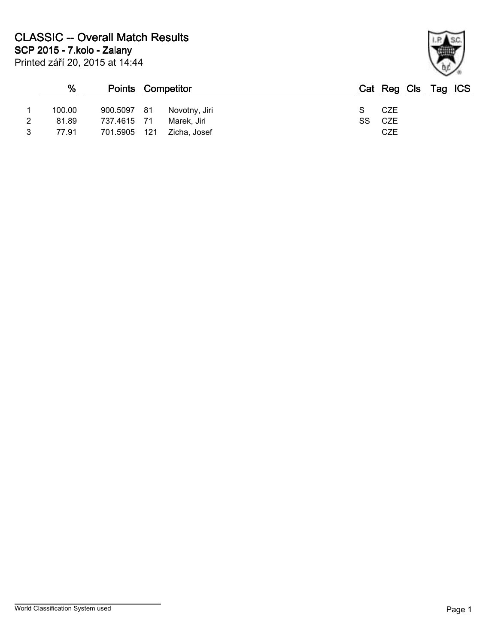|   | %      | <b>Points Competitor</b> |      |               |    | Cat Reg Cls Tag ICS |  |  |
|---|--------|--------------------------|------|---------------|----|---------------------|--|--|
|   | 100.00 | 900.5097                 | - 81 | Novotny, Jiri |    | CZE                 |  |  |
|   | 81.89  | 737.4615 71              |      | Marek. Jiri   | SS | CZE                 |  |  |
| 3 | 77.91  | 701.5905 121             |      | Zicha, Josef  |    | <b>CZE</b>          |  |  |

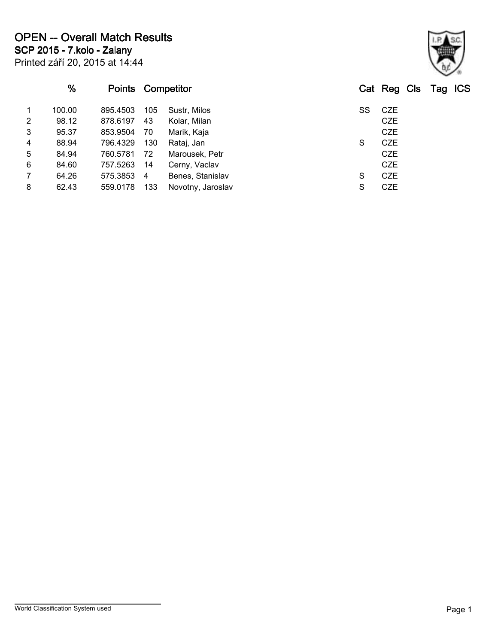|   | <u>%</u> | <u>Points</u> |                | <b>Competitor</b> |    | Cat Reg Cls Tag ICS |  |  |
|---|----------|---------------|----------------|-------------------|----|---------------------|--|--|
|   | 100.00   | 895.4503      | 105            | Sustr, Milos      | SS | CZE                 |  |  |
| 2 | 98.12    | 878.6197      | 43             | Kolar, Milan      |    | <b>CZE</b>          |  |  |
| 3 | 95.37    | 853.9504      | 70             | Marik, Kaja       |    | <b>CZE</b>          |  |  |
| 4 | 88.94    | 796.4329      | 130            | Rataj, Jan        | S  | <b>CZE</b>          |  |  |
| 5 | 84.94    | 760.5781      | 72             | Marousek, Petr    |    | <b>CZE</b>          |  |  |
| 6 | 84.60    | 757.5263      | -14            | Cerny, Vaclav     |    | <b>CZE</b>          |  |  |
|   | 64.26    | 575.3853      | $\overline{4}$ | Benes, Stanislav  | S  | <b>CZE</b>          |  |  |
| 8 | 62.43    | 559,0178      | 133            | Novotny, Jaroslav | S  | <b>CZE</b>          |  |  |
|   |          |               |                |                   |    |                     |  |  |

Printed září 20, 2015 at 14:44

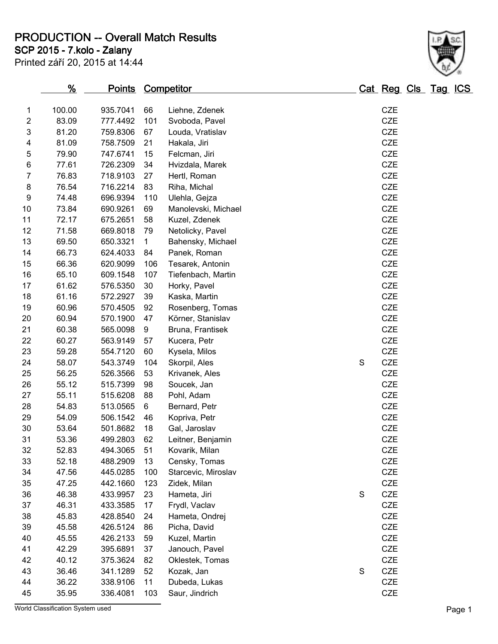**PRODUCTION -- Overall Match Results**

**SCP 2015 - 7.kolo - Zalany**

| Printed září 20, 2015 at 14:44 |  |  |  |
|--------------------------------|--|--|--|

| 6  | 77.61                            | 726.2309 | 34           | Hvizdala, Marek     |             | <b>CZE</b> |        |
|----|----------------------------------|----------|--------------|---------------------|-------------|------------|--------|
| 7  | 76.83                            | 718.9103 | 27           | Hertl, Roman        |             | <b>CZE</b> |        |
| 8  | 76.54                            | 716.2214 | 83           | Riha, Michal        |             | CZE        |        |
| 9  | 74.48                            | 696.9394 | 110          | Ulehla, Gejza       |             | CZE        |        |
| 10 | 73.84                            | 690.9261 | 69           | Manolevski, Michael |             | CZE        |        |
| 11 | 72.17                            | 675.2651 | 58           | Kuzel, Zdenek       |             | CZE        |        |
| 12 | 71.58                            | 669.8018 | 79           | Netolicky, Pavel    |             | CZE        |        |
| 13 | 69.50                            | 650.3321 | $\mathbf{1}$ | Bahensky, Michael   |             | CZE        |        |
| 14 | 66.73                            | 624.4033 | 84           | Panek, Roman        |             | CZE        |        |
| 15 | 66.36                            | 620.9099 | 106          | Tesarek, Antonin    |             | CZE        |        |
| 16 | 65.10                            | 609.1548 | 107          | Tiefenbach, Martin  |             | CZE        |        |
| 17 | 61.62                            | 576.5350 | 30           | Horky, Pavel        |             | CZE        |        |
| 18 | 61.16                            | 572.2927 | 39           | Kaska, Martin       |             | CZE        |        |
| 19 | 60.96                            | 570.4505 | 92           | Rosenberg, Tomas    |             | CZE        |        |
| 20 | 60.94                            | 570.1900 | 47           | Körner, Stanislav   |             | CZE        |        |
| 21 | 60.38                            | 565.0098 | 9            | Bruna, Frantisek    |             | CZE        |        |
| 22 | 60.27                            | 563.9149 | 57           | Kucera, Petr        |             | CZE        |        |
| 23 | 59.28                            | 554.7120 | 60           | Kysela, Milos       |             | CZE        |        |
| 24 | 58.07                            | 543.3749 | 104          | Skorpil, Ales       | $\mathbf S$ | CZE        |        |
| 25 | 56.25                            | 526.3566 | 53           | Krivanek, Ales      |             | CZE        |        |
| 26 | 55.12                            | 515.7399 | 98           | Soucek, Jan         |             | CZE        |        |
| 27 | 55.11                            | 515.6208 | 88           | Pohl, Adam          |             | CZE        |        |
| 28 | 54.83                            | 513.0565 | 6            | Bernard, Petr       |             | CZE        |        |
| 29 | 54.09                            | 506.1542 | 46           | Kopriva, Petr       |             | CZE        |        |
| 30 | 53.64                            | 501.8682 | 18           | Gal, Jaroslav       |             | CZE        |        |
| 31 | 53.36                            | 499.2803 | 62           | Leitner, Benjamin   |             | CZE        |        |
| 32 | 52.83                            | 494.3065 | 51           | Kovarik, Milan      |             | CZE        |        |
| 33 | 52.18                            | 488.2909 | 13           | Censky, Tomas       |             | CZE        |        |
| 34 | 47.56                            | 445.0285 | 100          | Starcevic, Miroslav |             | CZE        |        |
| 35 | 47.25                            | 442.1660 | 123          | Zidek, Milan        |             | CZE        |        |
| 36 | 46.38                            | 433.9957 | 23           | Hameta, Jiri        | $\mathbf S$ | CZE        |        |
| 37 | 46.31                            | 433.3585 | 17           | Frydl, Vaclav       |             | CZE        |        |
| 38 | 45.83                            | 428.8540 | 24           | Hameta, Ondrej      |             | CZE        |        |
| 39 | 45.58                            | 426.5124 | 86           | Picha, David        |             | CZE        |        |
| 40 | 45.55                            | 426.2133 | 59           | Kuzel, Martin       |             | CZE        |        |
| 41 | 42.29                            | 395.6891 | 37           | Janouch, Pavel      |             | CZE        |        |
| 42 | 40.12                            | 375.3624 | 82           | Oklestek, Tomas     |             | CZE        |        |
| 43 | 36.46                            | 341.1289 | 52           | Kozak, Jan          | S           | CZE        |        |
| 44 | 36.22                            | 338.9106 | 11           | Dubeda, Lukas       |             | CZE        |        |
| 45 | 35.95                            | 336.4081 | 103          | Saur, Jindrich      |             | CZE        |        |
|    | World Classification System used |          |              |                     |             |            | Page 1 |

 100.00 935.7041 66 Liehne, Zdenek CZE 83.09 777.4492 101 Svoboda, Pavel CZE 81.20 759.8306 67 Louda, Vratislav CZE 81.09 758.7509 21 Hakala, Jiri CZE

747.6741 15 Felcman, Jiri

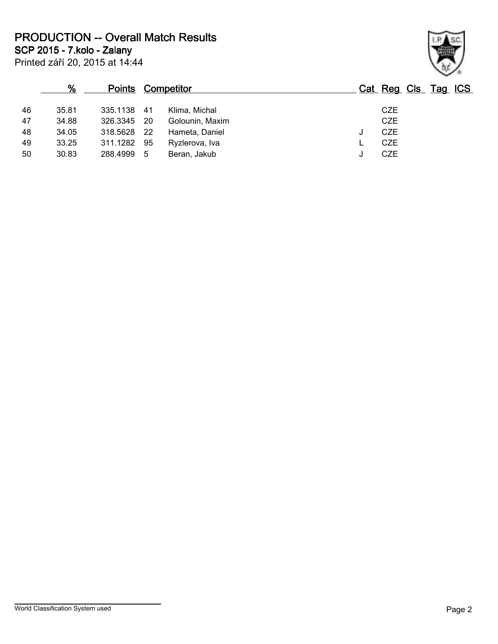**PRODUCTION -- Overall Match Results**

Printed září 20, 2015 at 14:44 **SCP 2015 - 7.kolo - Zalany**

|    | %     | <b>Points Competitor</b> |      |                 |   | Cat Reg Cls Tag ICS |  |  |
|----|-------|--------------------------|------|-----------------|---|---------------------|--|--|
| 46 | 35.81 | 335.1138 41              |      | Klima, Michal   |   | <b>CZE</b>          |  |  |
| 47 | 34.88 | 326.3345 20              |      | Golounin, Maxim |   | <b>CZE</b>          |  |  |
| 48 | 34.05 | 318.5628                 | - 22 | Hameta, Daniel  | J | <b>CZE</b>          |  |  |
| 49 | 33.25 | 311.1282                 | 95   | Ryzlerova, Iva  |   | <b>CZE</b>          |  |  |
| 50 | 30.83 | 288.4999 5               |      | Beran, Jakub    | J | <b>CZE</b>          |  |  |
|    |       |                          |      |                 |   |                     |  |  |

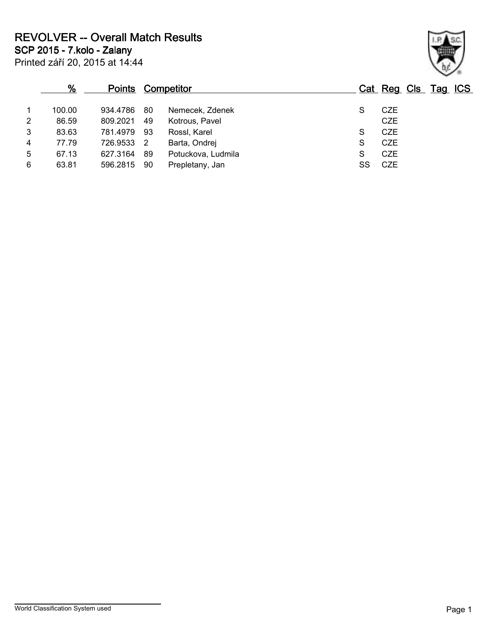**REVOLVER -- Overall Match Results**

**SCP 2015 - 7.kolo - Zalany**

|   | %      | <b>Points</b> |     | <b>Competitor</b>  |    | Cat Reg Cls Tag ICS |  |  |
|---|--------|---------------|-----|--------------------|----|---------------------|--|--|
|   | 100.00 | 934.4786      | 80  | Nemecek, Zdenek    | S  | CZE                 |  |  |
| 2 | 86.59  | 809.2021      | 49  | Kotrous, Pavel     |    | <b>CZE</b>          |  |  |
| 3 | 83.63  | 781.4979      | 93  | Rossl, Karel       | S  | <b>CZE</b>          |  |  |
| 4 | 77.79  | 726.9533      | - 2 | Barta, Ondrej      | S  | <b>CZE</b>          |  |  |
| 5 | 67.13  | 627.3164      | 89  | Potuckova, Ludmila | S  | <b>CZE</b>          |  |  |
| 6 | 63.81  | 596.2815      | 90  | Prepletany, Jan    | SS | CZE                 |  |  |
|   |        |               |     |                    |    |                     |  |  |

Printed září 20, 2015 at 14:44

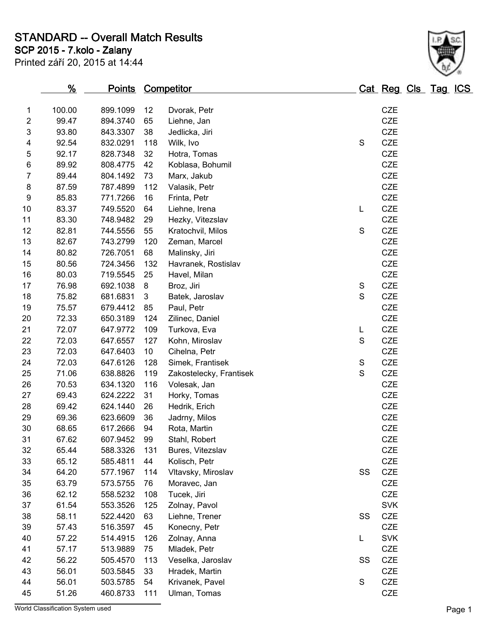**STANDARD -- Overall Match Results**

**SCP 2015 - 7.kolo - Zalany**

Printed září 20, 2015 at 14:44



|    | <u>%</u> | <b>Points Competitor</b> |                 |                         |             | <u>Cat Reg Cls Tag ICS</u> |  |  |
|----|----------|--------------------------|-----------------|-------------------------|-------------|----------------------------|--|--|
| 1  | 100.00   | 899.1099                 | 12              | Dvorak, Petr            |             | <b>CZE</b>                 |  |  |
| 2  | 99.47    | 894.3740                 | 65              | Liehne, Jan             |             | <b>CZE</b>                 |  |  |
| 3  | 93.80    | 843.3307                 | 38              | Jedlicka, Jiri          |             | <b>CZE</b>                 |  |  |
| 4  | 92.54    | 832.0291                 | 118             | Wilk, Ivo               | S           | <b>CZE</b>                 |  |  |
| 5  | 92.17    | 828.7348                 | 32              | Hotra, Tomas            |             | CZE                        |  |  |
| 6  | 89.92    | 808.4775                 | 42              | Koblasa, Bohumil        |             | <b>CZE</b>                 |  |  |
| 7  | 89.44    | 804.1492                 | 73              | Marx, Jakub             |             | <b>CZE</b>                 |  |  |
| 8  | 87.59    | 787.4899                 | 112             | Valasik, Petr           |             | <b>CZE</b>                 |  |  |
| 9  | 85.83    | 771.7266                 | 16              | Frinta, Petr            |             | CZE                        |  |  |
| 10 | 83.37    | 749.5520                 | 64              | Liehne, Irena           | L           | <b>CZE</b>                 |  |  |
| 11 | 83.30    | 748.9482                 | 29              | Hezky, Vitezslav        |             | <b>CZE</b>                 |  |  |
| 12 | 82.81    | 744.5556                 | 55              | Kratochvil, Milos       | S           | CZE                        |  |  |
| 13 | 82.67    | 743.2799                 | 120             | Zeman, Marcel           |             | CZE                        |  |  |
| 14 | 80.82    | 726.7051                 | 68              | Malinsky, Jiri          |             | CZE                        |  |  |
| 15 | 80.56    | 724.3456                 | 132             | Havranek, Rostislav     |             | CZE                        |  |  |
| 16 | 80.03    | 719.5545                 | 25              | Havel, Milan            |             | <b>CZE</b>                 |  |  |
| 17 | 76.98    | 692.1038                 | 8               | Broz, Jiri              | S           | CZE                        |  |  |
| 18 | 75.82    | 681.6831                 | 3               | Batek, Jaroslav         | S           | <b>CZE</b>                 |  |  |
| 19 | 75.57    | 679.4412                 | 85              | Paul, Petr              |             | <b>CZE</b>                 |  |  |
| 20 | 72.33    | 650.3189                 | 124             | Zilinec, Daniel         |             | <b>CZE</b>                 |  |  |
| 21 | 72.07    | 647.9772                 | 109             | Turkova, Eva            | L           | <b>CZE</b>                 |  |  |
| 22 | 72.03    | 647.6557                 | 127             | Kohn, Miroslav          | S           | CZE                        |  |  |
| 23 | 72.03    | 647.6403                 | 10 <sup>°</sup> | Cihelna, Petr           |             | <b>CZE</b>                 |  |  |
| 24 | 72.03    | 647.6126                 | 128             | Simek, Frantisek        | $\mathbf S$ | <b>CZE</b>                 |  |  |
| 25 | 71.06    | 638.8826                 | 119             | Zakostelecky, Frantisek | S           | CZE                        |  |  |
| 26 | 70.53    | 634.1320                 | 116             | Volesak, Jan            |             | <b>CZE</b>                 |  |  |
| 27 | 69.43    | 624.2222                 | 31              | Horky, Tomas            |             | <b>CZE</b>                 |  |  |
| 28 | 69.42    | 624.1440                 | 26              | Hedrik, Erich           |             | <b>CZE</b>                 |  |  |
| 29 | 69.36    | 623.6609                 | 36              | Jadrny, Milos           |             | CZE                        |  |  |
| 30 | 68.65    | 617.2666                 | 94              | Rota, Martin            |             | <b>CZE</b>                 |  |  |
| 31 | 67.62    | 607.9452                 | 99              | Stahl, Robert           |             | <b>CZE</b>                 |  |  |
| 32 | 65.44    | 588.3326                 | 131             | Bures, Vitezslav        |             | CZE                        |  |  |
| 33 | 65.12    | 585.4811                 | 44              | Kolisch, Petr           |             | <b>CZE</b>                 |  |  |
| 34 | 64.20    | 577.1967                 | 114             | Vltavsky, Miroslav      | SS          | <b>CZE</b>                 |  |  |
| 35 | 63.79    | 573.5755                 | 76              | Moravec, Jan            |             | CZE                        |  |  |
| 36 | 62.12    | 558.5232                 | 108             | Tucek, Jiri             |             | CZE                        |  |  |
| 37 | 61.54    | 553.3526                 | 125             | Zolnay, Pavol           |             | <b>SVK</b>                 |  |  |
| 38 | 58.11    | 522.4420                 | 63              | Liehne, Trener          | SS          | <b>CZE</b>                 |  |  |
| 39 | 57.43    | 516.3597                 | 45              | Konecny, Petr           |             | CZE                        |  |  |
| 40 | 57.22    | 514.4915                 | 126             | Zolnay, Anna            | L           | <b>SVK</b>                 |  |  |
| 41 | 57.17    | 513.9889                 | 75              | Mladek, Petr            |             | CZE                        |  |  |
| 42 | 56.22    | 505.4570                 | 113             | Veselka, Jaroslav       | SS          | <b>CZE</b>                 |  |  |
| 43 | 56.01    | 503.5845                 | 33              | Hradek, Martin          |             | CZE                        |  |  |
| 44 | 56.01    | 503.5785                 | 54              | Krivanek, Pavel         | $\mathbf S$ | CZE                        |  |  |
| 45 | 51.26    | 460.8733                 | 111             | Ulman, Tomas            |             | CZE                        |  |  |

World Classification System used **Page 1**